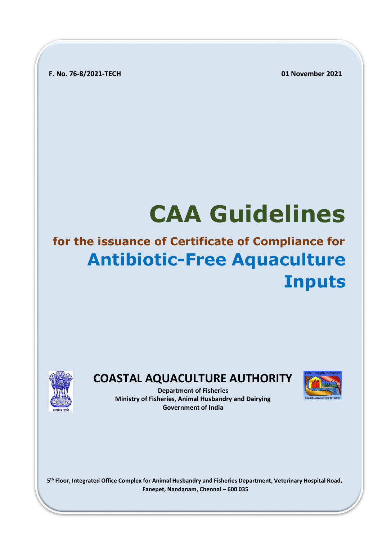**F. No. 76-8/2021-TECH 01 November 2021**

# **CAA Guidelines**

# **for the issuance of Certificate of Compliance for Antibiotic-Free Aquaculture Inputs**



**COASTAL AQUACULTURE AUTHORITY**



**Department of Fisheries Ministry of Fisheries, Animal Husbandry and Dairying Government of India**

**5 th Floor, Integrated Office Complex for Animal Husbandry and Fisheries Department, Veterinary Hospital Road, Fanepet, Nandanam, Chennai – 600 035**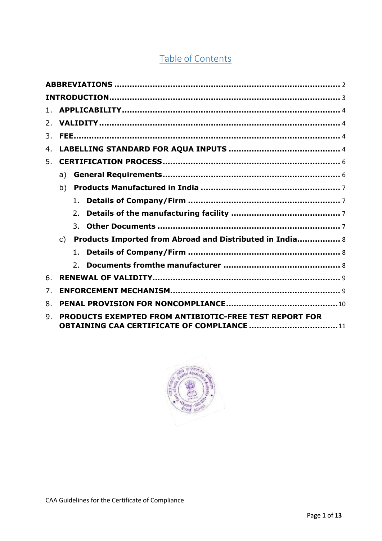## Table of Contents

| 1. |                                                                                                             |
|----|-------------------------------------------------------------------------------------------------------------|
| 2. |                                                                                                             |
| 3. |                                                                                                             |
| 4. |                                                                                                             |
| 5. |                                                                                                             |
|    | a)                                                                                                          |
|    | b)                                                                                                          |
|    | 1.                                                                                                          |
|    | 2.                                                                                                          |
|    | 3.                                                                                                          |
|    | Products Imported from Abroad and Distributed in India 8<br>C)                                              |
|    | $\mathbf{1}$                                                                                                |
|    | $2_{-}$                                                                                                     |
| 6. |                                                                                                             |
| 7. |                                                                                                             |
| 8. |                                                                                                             |
| 9. | PRODUCTS EXEMPTED FROM ANTIBIOTIC-FREE TEST REPORT FOR<br><b>OBTAINING CAA CERTIFICATE OF COMPLIANCE 11</b> |

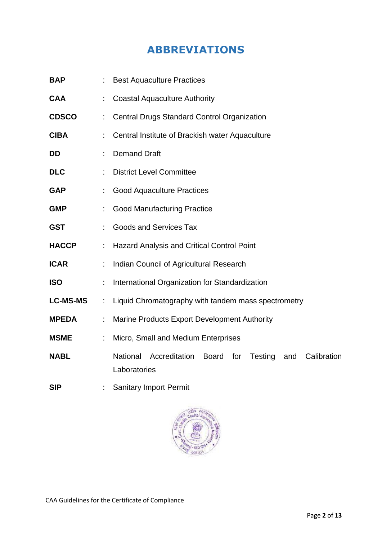## <span id="page-2-0"></span>**ABBREVIATIONS**

| <b>BAP</b>      | t. | <b>Best Aquaculture Practices</b>                                                                 |  |  |
|-----------------|----|---------------------------------------------------------------------------------------------------|--|--|
| <b>CAA</b>      | t, | <b>Coastal Aquaculture Authority</b>                                                              |  |  |
| <b>CDSCO</b>    |    | <b>Central Drugs Standard Control Organization</b>                                                |  |  |
| <b>CIBA</b>     | t  | Central Institute of Brackish water Aquaculture                                                   |  |  |
| <b>DD</b>       |    | <b>Demand Draft</b>                                                                               |  |  |
| <b>DLC</b>      |    | <b>District Level Committee</b>                                                                   |  |  |
| <b>GAP</b>      |    | <b>Good Aquaculture Practices</b>                                                                 |  |  |
| <b>GMP</b>      |    | <b>Good Manufacturing Practice</b>                                                                |  |  |
| <b>GST</b>      |    | <b>Goods and Services Tax</b>                                                                     |  |  |
| <b>HACCP</b>    | t. | Hazard Analysis and Critical Control Point                                                        |  |  |
| <b>ICAR</b>     | t. | Indian Council of Agricultural Research                                                           |  |  |
| <b>ISO</b>      |    | International Organization for Standardization                                                    |  |  |
| <b>LC-MS-MS</b> | t, | Liquid Chromatography with tandem mass spectrometry                                               |  |  |
| <b>MPEDA</b>    |    | Marine Products Export Development Authority                                                      |  |  |
| <b>MSME</b>     |    | Micro, Small and Medium Enterprises                                                               |  |  |
| <b>NABL</b>     |    | National<br>Accreditation<br>Calibration<br><b>Board</b><br>for<br>Testing<br>and<br>Laboratories |  |  |
| <b>SIP</b>      |    | <b>Sanitary Import Permit</b>                                                                     |  |  |

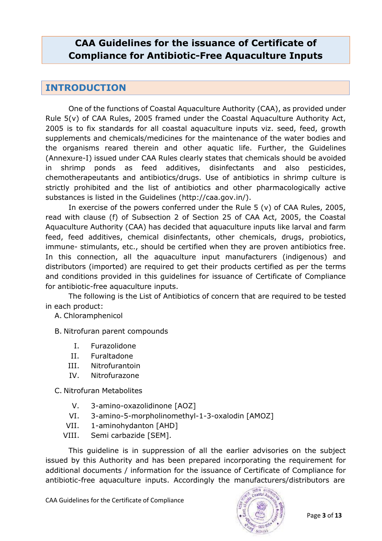## **CAA Guidelines for the issuance of Certificate of Compliance for Antibiotic-Free Aquaculture Inputs**

## <span id="page-3-0"></span>**INTRODUCTION**

One of the functions of Coastal Aquaculture Authority (CAA), as provided under Rule 5(v) of CAA Rules, 2005 framed under the Coastal Aquaculture Authority Act, 2005 is to fix standards for all coastal aquaculture inputs viz. seed, feed, growth supplements and chemicals/medicines for the maintenance of the water bodies and the organisms reared therein and other aquatic life. Further, the Guidelines (Annexure-I) issued under CAA Rules clearly states that chemicals should be avoided in shrimp ponds as feed additives, disinfectants and also pesticides, chemotherapeutants and antibiotics/drugs. Use of antibiotics in shrimp culture is strictly prohibited and the list of antibiotics and other pharmacologically active substances is listed in the Guidelines [\(http://caa.gov.in/\).](http://caa.gov.in/))

In exercise of the powers conferred under the Rule 5 (v) of CAA Rules, 2005, read with clause (f) of Subsection 2 of Section 25 of CAA Act, 2005, the Coastal Aquaculture Authority (CAA) has decided that aquaculture inputs like larval and farm feed, feed additives, chemical disinfectants, other chemicals, drugs, probiotics, immune- stimulants, etc., should be certified when they are proven antibiotics free. In this connection, all the aquaculture input manufacturers (indigenous) and distributors (imported) are required to get their products certified as per the terms and conditions provided in this guidelines for issuance of Certificate of Compliance for antibiotic-free aquaculture inputs.

The following is the List of Antibiotics of concern that are required to be tested in each product:

#### A. Chloramphenicol

B. Nitrofuran parent compounds

- I. Furazolidone
- II. Furaltadone
- III. Nitrofurantoin
- IV. Nitrofurazone

C. Nitrofuran Metabolites

- V. 3-amino-oxazolidinone [AOZ]
- VI. 3-amino-5-morpholinomethyl-1-3-oxalodin [AMOZ]
- VII. 1-aminohydanton [AHD]
- VIII. Semi carbazide [SEM].

This guideline is in suppression of all the earlier advisories on the subject issued by this Authority and has been prepared incorporating the requirement for additional documents / information for the issuance of Certificate of Compliance for antibiotic-free aquaculture inputs. Accordingly the manufacturers/distributors are

CAA Guidelines for the Certificate of Compliance

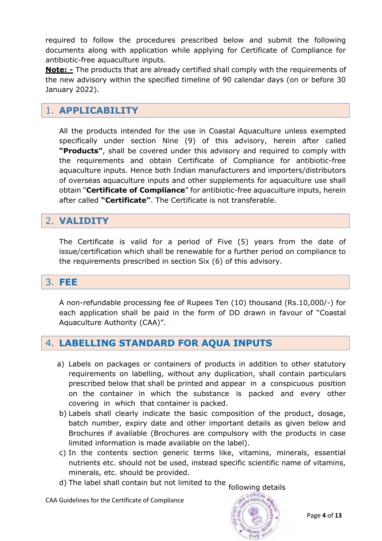required to follow the procedures prescribed below and submit the following documents along with application while applying for Certificate of Compliance for antibiotic-free aquaculture inputs.

**Note: -** The products that are already certified shall comply with the requirements of the new advisory within the specified timeline of 90 calendar days (on or before 30 January 2022).

## <span id="page-4-0"></span>1. **APPLICABILITY**

All the products intended for the use in Coastal Aquaculture unless exempted specifically under section Nine (9) of this advisory, herein after called **"Products"**, shall be covered under this advisory and required to comply with the requirements and obtain Certificate of Compliance for antibiotic-free aquaculture inputs. Hence both Indian manufacturers and importers/distributors of overseas aquaculture inputs and other supplements for aquaculture use shall obtain "**Certificate of Compliance**" for antibiotic-free aquaculture inputs, herein after called **"Certificate"**. The Certificate is not transferable.

## <span id="page-4-1"></span>2. **VALIDITY**

The Certificate is valid for a period of Five (5) years from the date of issue/certification which shall be renewable for a further period on compliance to the requirements prescribed in section Six (6) of this advisory.

## <span id="page-4-2"></span>3. **FEE**

A non-refundable processing fee of Rupees Ten (10) thousand (Rs.10,000/-) for each application shall be paid in the form of DD drawn in favour of "Coastal Aquaculture Authority (CAA)".

## <span id="page-4-3"></span>4. **LABELLING STANDARD FOR AQUA INPUTS**

- a) Labels on packages or containers of products in addition to other statutory requirements on labelling, without any duplication, shall contain particulars prescribed below that shall be printed and appear in a conspicuous position on the container in which the substance is packed and every other covering in which that container is packed.
- b) Labels shall clearly indicate the basic composition of the product, dosage, batch number, expiry date and other important details as given below and Brochures if available (Brochures are compulsory with the products in case limited information is made available on the label).
- c) In the contents section generic terms like, vitamins, minerals, essential nutrients etc. should not be used, instead specific scientific name of vitamins, minerals, etc. should be provided.
- following details d) The label shall contain but not limited to the

CAA Guidelines for the Certificate of Compliance

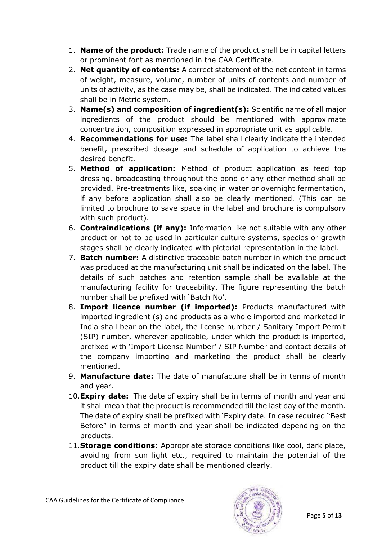- 1. **Name of the product:** Trade name of the product shall be in capital letters or prominent font as mentioned in the CAA Certificate.
- 2. **Net quantity of contents:** A correct statement of the net content in terms of weight, measure, volume, number of units of contents and number of units of activity, as the case may be, shall be indicated. The indicated values shall be in Metric system.
- 3. **Name(s) and composition of ingredient(s):** Scientific name of all major ingredients of the product should be mentioned with approximate concentration, composition expressed in appropriate unit as applicable.
- 4. **Recommendations for use:** The label shall clearly indicate the intended benefit, prescribed dosage and schedule of application to achieve the desired benefit.
- 5. **Method of application:** Method of product application as feed top dressing, broadcasting throughout the pond or any other method shall be provided. Pre-treatments like, soaking in water or overnight fermentation, if any before application shall also be clearly mentioned. (This can be limited to brochure to save space in the label and brochure is compulsory with such product).
- 6. **Contraindications (if any):** Information like not suitable with any other product or not to be used in particular culture systems, species or growth stages shall be clearly indicated with pictorial representation in the label.
- 7. **Batch number:** A distinctive traceable batch number in which the product was produced at the manufacturing unit shall be indicated on the label. The details of such batches and retention sample shall be available at the manufacturing facility for traceability. The figure representing the batch number shall be prefixed with 'Batch No'.
- 8. **Import licence number (if imported):** Products manufactured with imported ingredient (s) and products as a whole imported and marketed in India shall bear on the label, the license number / Sanitary Import Permit (SIP) number, wherever applicable, under which the product is imported, prefixed with 'Import License Number' / SIP Number and contact details of the company importing and marketing the product shall be clearly mentioned.
- 9. **Manufacture date:** The date of manufacture shall be in terms of month and year.
- 10.**Expiry date:** The date of expiry shall be in terms of month and year and it shall mean that the product is recommended till the last day of the month. The date of expiry shall be prefixed with 'Expiry date. In case required "Best Before" in terms of month and year shall be indicated depending on the products.
- 11.**Storage conditions:** Appropriate storage conditions like cool, dark place, avoiding from sun light etc., required to maintain the potential of the product till the expiry date shall be mentioned clearly.

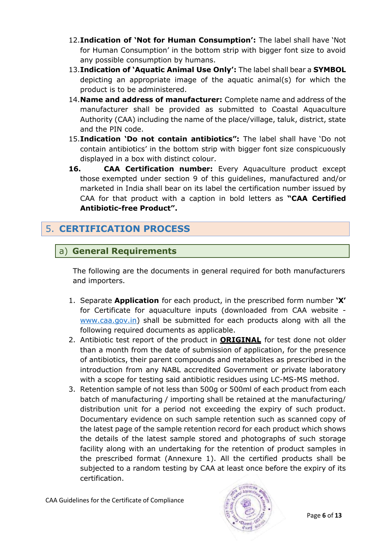- 12.**Indication of 'Not for Human Consumption':** The label shall have 'Not for Human Consumption' in the bottom strip with bigger font size to avoid any possible consumption by humans.
- 13.**Indication of 'Aquatic Animal Use Only':** The label shall bear a **SYMBOL** depicting an appropriate image of the aquatic animal(s) for which the product is to be administered.
- 14.**Name and address of manufacturer:** Complete name and address of the manufacturer shall be provided as submitted to Coastal Aquaculture Authority (CAA) including the name of the place/village, taluk, district, state and the PIN code.
- 15.**Indication 'Do not contain antibiotics":** The label shall have 'Do not contain antibiotics' in the bottom strip with bigger font size conspicuously displayed in a box with distinct colour.
- **16. CAA Certification number:** Every Aquaculture product except those exempted under section 9 of this guidelines, manufactured and/or marketed in India shall bear on its label the certification number issued by CAA for that product with a caption in bold letters as **"CAA Certified Antibiotic-free Product".**

## <span id="page-6-0"></span>5. **CERTIFICATION PROCESS**

## <span id="page-6-1"></span>a) **General Requirements**

The following are the documents in general required for both manufacturers and importers.

- 1. Separate **Application** for each product, in the prescribed form number **'X'** for Certificate for aquaculture inputs (downloaded from CAA website [www.caa.gov.in\)](http://www.caa.gov.in/) shall be submitted for each products along with all the following required documents as applicable.
- 2. Antibiotic test report of the product in **ORIGINAL** for test done not older than a month from the date of submission of application, for the presence of antibiotics, their parent compounds and metabolites as prescribed in the introduction from any NABL accredited Government or private laboratory with a scope for testing said antibiotic residues using LC-MS-MS method.
- 3. Retention sample of not less than 500g or 500ml of each product from each batch of manufacturing / importing shall be retained at the manufacturing/ distribution unit for a period not exceeding the expiry of such product. Documentary evidence on such sample retention such as scanned copy of the latest page of the sample retention record for each product which shows the details of the latest sample stored and photographs of such storage facility along with an undertaking for the retention of product samples in the prescribed format (Annexure 1). All the certified products shall be subjected to a random testing by CAA at least once before the expiry of its certification.

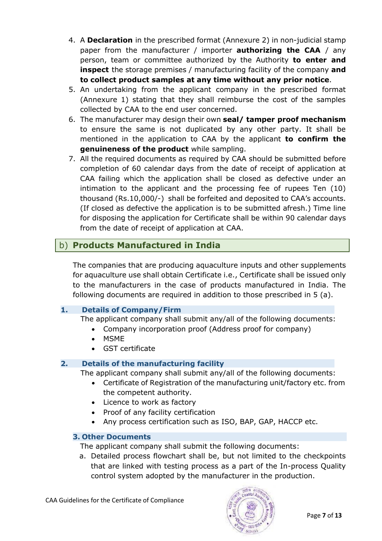- 4. A **Declaration** in the prescribed format (Annexure 2) in non-judicial stamp paper from the manufacturer / importer **authorizing the CAA** / any person, team or committee authorized by the Authority **to enter and inspect** the storage premises / manufacturing facility of the company **and to collect product samples at any time without any prior notice**.
- 5. An undertaking from the applicant company in the prescribed format (Annexure 1) stating that they shall reimburse the cost of the samples collected by CAA to the end user concerned.
- 6. The manufacturer may design their own **seal/ tamper proof mechanism** to ensure the same is not duplicated by any other party. It shall be mentioned in the application to CAA by the applicant **to confirm the genuineness of the product** while sampling.
- 7. All the required documents as required by CAA should be submitted before completion of 60 calendar days from the date of receipt of application at CAA failing which the application shall be closed as defective under an intimation to the applicant and the processing fee of rupees Ten (10) thousand (Rs.10,000/-) shall be forfeited and deposited to CAA's accounts. (If closed as defective the application is to be submitted afresh.) Time line for disposing the application for Certificate shall be within 90 calendar days from the date of receipt of application at CAA.

## <span id="page-7-0"></span>b) **Products Manufactured in India**

The companies that are producing aquaculture inputs and other supplements for aquaculture use shall obtain Certificate i.e., Certificate shall be issued only to the manufacturers in the case of products manufactured in India. The following documents are required in addition to those prescribed in 5 (a).

#### <span id="page-7-1"></span>**1. Details of Company/Firm**

The applicant company shall submit any/all of the following documents:

- Company incorporation proof (Address proof for company)
- MSME
- **GST** certificate

#### <span id="page-7-2"></span>**2. Details of the manufacturing facility**

The applicant company shall submit any/all of the following documents:

- Certificate of Registration of the manufacturing unit/factory etc. from the competent authority.
- Licence to work as factory
- Proof of any facility certification
- Any process certification such as ISO, BAP, GAP, HACCP etc.

#### <span id="page-7-3"></span>**3. Other Documents**

The applicant company shall submit the following documents:

a. Detailed process flowchart shall be, but not limited to the checkpoints that are linked with testing process as a part of the In-process Quality control system adopted by the manufacturer in the production.

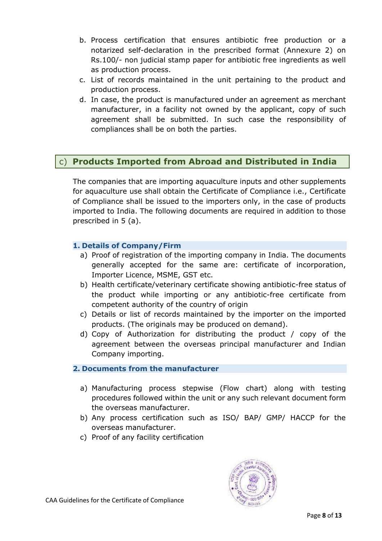- b. Process certification that ensures antibiotic free production or a notarized self-declaration in the prescribed format (Annexure 2) on Rs.100/- non judicial stamp paper for antibiotic free ingredients as well as production process.
- c. List of records maintained in the unit pertaining to the product and production process.
- d. In case, the product is manufactured under an agreement as merchant manufacturer, in a facility not owned by the applicant, copy of such agreement shall be submitted. In such case the responsibility of compliances shall be on both the parties.

## <span id="page-8-0"></span>c) **Products Imported from Abroad and Distributed in India**

The companies that are importing aquaculture inputs and other supplements for aquaculture use shall obtain the Certificate of Compliance i.e., Certificate of Compliance shall be issued to the importers only, in the case of products imported to India. The following documents are required in addition to those prescribed in 5 (a).

#### <span id="page-8-1"></span>**1. Details of Company/Firm**

- a) Proof of registration of the importing company in India. The documents generally accepted for the same are: certificate of incorporation, Importer Licence, MSME, GST etc.
- b) Health certificate/veterinary certificate showing antibiotic-free status of the product while importing or any antibiotic-free certificate from competent authority of the country of origin
- c) Details or list of records maintained by the importer on the imported products. (The originals may be produced on demand).
- d) Copy of Authorization for distributing the product / copy of the agreement between the overseas principal manufacturer and Indian Company importing.

#### <span id="page-8-2"></span>**2. Documents from the manufacturer**

- a) Manufacturing process stepwise (Flow chart) along with testing procedures followed within the unit or any such relevant document form the overseas manufacturer.
- b) Any process certification such as ISO/ BAP/ GMP/ HACCP for the overseas manufacturer.
- c) Proof of any facility certification

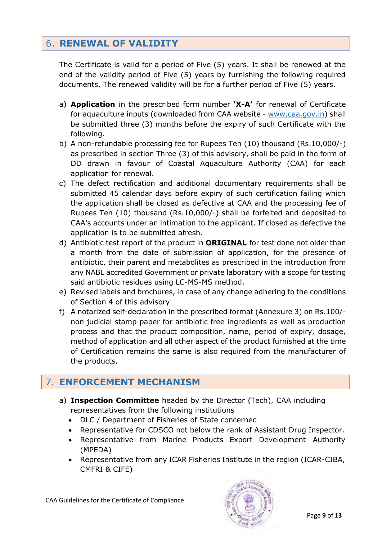## <span id="page-9-0"></span>6. **RENEWAL OF VALIDITY**

The Certificate is valid for a period of Five (5) years. It shall be renewed at the end of the validity period of Five (5) years by furnishing the following required documents. The renewed validity will be for a further period of Five (5) years.

- a) **Application** in the prescribed form number **'X-A'** for renewal of Certificate for aquaculture inputs (downloaded from CAA website - [www.caa.gov.in\)](http://www.caa.gov.in/) shall be submitted three (3) months before the expiry of such Certificate with the following.
- b) A non-refundable processing fee for Rupees Ten (10) thousand (Rs.10,000/-) as prescribed in section Three (3) of this advisory, shall be paid in the form of DD drawn in favour of Coastal Aquaculture Authority (CAA) for each application for renewal.
- c) The defect rectification and additional documentary requirements shall be submitted 45 calendar days before expiry of such certification failing which the application shall be closed as defective at CAA and the processing fee of Rupees Ten (10) thousand (Rs.10,000/-) shall be forfeited and deposited to CAA's accounts under an intimation to the applicant. If closed as defective the application is to be submitted afresh.
- d) Antibiotic test report of the product in **ORIGINAL** for test done not older than a month from the date of submission of application, for the presence of antibiotic, their parent and metabolites as prescribed in the introduction from any NABL accredited Government or private laboratory with a scope for testing said antibiotic residues using LC-MS-MS method.
- e) Revised labels and brochures, in case of any change adhering to the conditions of Section 4 of this advisory
- f) A notarized self-declaration in the prescribed format (Annexure 3) on Rs.100/ non judicial stamp paper for antibiotic free ingredients as well as production process and that the product composition, name, period of expiry, dosage, method of application and all other aspect of the product furnished at the time of Certification remains the same is also required from the manufacturer of the products.

## <span id="page-9-1"></span>7. **ENFORCEMENT MECHANISM**

- a) **Inspection Committee** headed by the Director (Tech), CAA including representatives from the following institutions
	- DLC / Department of Fisheries of State concerned
	- Representative for CDSCO not below the rank of Assistant Drug Inspector.
	- Representative from Marine Products Export Development Authority (MPEDA)
	- Representative from any ICAR Fisheries Institute in the region (ICAR-CIBA, CMFRI & CIFE)

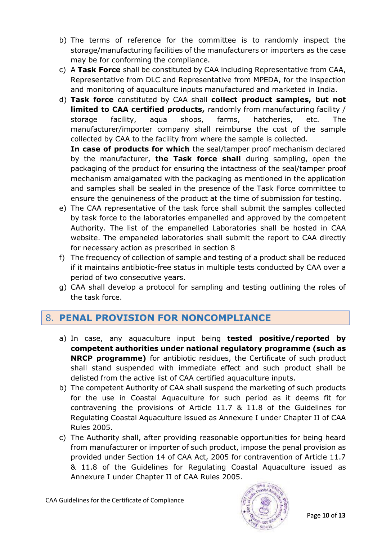- b) The terms of reference for the committee is to randomly inspect the storage/manufacturing facilities of the manufacturers or importers as the case may be for conforming the compliance.
- c) A **Task Force** shall be constituted by CAA including Representative from CAA, Representative from DLC and Representative from MPEDA, for the inspection and monitoring of aquaculture inputs manufactured and marketed in India.
- d) **Task force** constituted by CAA shall **collect product samples, but not limited to CAA certified products,** randomly from manufacturing facility / storage facility, aqua shops, farms, hatcheries, etc. The manufacturer/importer company shall reimburse the cost of the sample collected by CAA to the facility from where the sample is collected.

**In case of products for which** the seal/tamper proof mechanism declared by the manufacturer, **the Task force shall** during sampling, open the packaging of the product for ensuring the intactness of the seal/tamper proof mechanism amalgamated with the packaging as mentioned in the application and samples shall be sealed in the presence of the Task Force committee to ensure the genuineness of the product at the time of submission for testing.

- e) The CAA representative of the task force shall submit the samples collected by task force to the laboratories empanelled and approved by the competent Authority. The list of the empanelled Laboratories shall be hosted in CAA website. The empaneled laboratories shall submit the report to CAA directly for necessary action as prescribed in section 8
- f) The frequency of collection of sample and testing of a product shall be reduced if it maintains antibiotic-free status in multiple tests conducted by CAA over a period of two consecutive years.
- g) CAA shall develop a protocol for sampling and testing outlining the roles of the task force.

## <span id="page-10-0"></span>8. **PENAL PROVISION FOR NONCOMPLIANCE**

- a) In case, any aquaculture input being **tested positive/reported by competent authorities under national regulatory programme (such as NRCP programme)** for antibiotic residues, the Certificate of such product shall stand suspended with immediate effect and such product shall be delisted from the active list of CAA certified aquaculture inputs.
- b) The competent Authority of CAA shall suspend the marketing of such products for the use in Coastal Aquaculture for such period as it deems fit for contravening the provisions of Article 11.7 & 11.8 of the Guidelines for Regulating Coastal Aquaculture issued as Annexure I under Chapter II of CAA Rules 2005.
- c) The Authority shall, after providing reasonable opportunities for being heard from manufacturer or importer of such product, impose the penal provision as provided under Section 14 of CAA Act, 2005 for contravention of Article 11.7 & 11.8 of the Guidelines for Regulating Coastal Aquaculture issued as Annexure I under Chapter II of CAA Rules 2005.

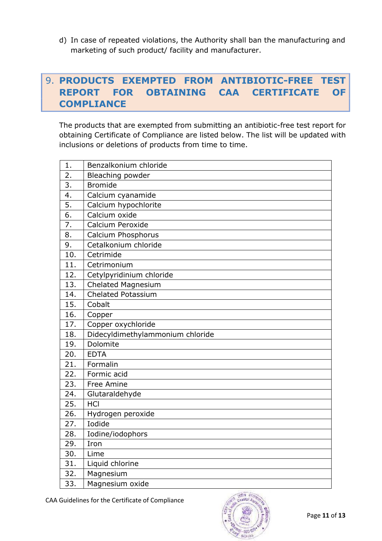d) In case of repeated violations, the Authority shall ban the manufacturing and marketing of such product/ facility and manufacturer.

## <span id="page-11-0"></span>9. **PRODUCTS EXEMPTED FROM ANTIBIOTIC-FREE TEST REPORT FOR OBTAINING CAA CERTIFICATE OF COMPLIANCE**

The products that are exempted from submitting an antibiotic-free test report for obtaining Certificate of Compliance are listed below. The list will be updated with inclusions or deletions of products from time to time.

| 1.               | Benzalkonium chloride            |
|------------------|----------------------------------|
| $\overline{2}$ . | Bleaching powder                 |
| 3.               | <b>Bromide</b>                   |
| 4.               | Calcium cyanamide                |
| 5.               | Calcium hypochlorite             |
| 6.               | Calcium oxide                    |
| 7.               | Calcium Peroxide                 |
| 8.               | Calcium Phosphorus               |
| 9.               | Cetalkonium chloride             |
| 10.              | Cetrimide                        |
| 11.              | Cetrimonium                      |
| 12.              | Cetylpyridinium chloride         |
| 13.              | Chelated Magnesium               |
| 14.              | <b>Chelated Potassium</b>        |
| 15.              | Cobalt                           |
| 16.              | Copper                           |
| 17.              | Copper oxychloride               |
| 18.              | Didecyldimethylammonium chloride |
| 19.              | Dolomite                         |
| 20.              | <b>EDTA</b>                      |
| 21.              | Formalin                         |
| 22.              | Formic acid                      |
| 23.              | Free Amine                       |
| 24.              | Glutaraldehyde                   |
| 25.              | <b>HCI</b>                       |
| 26.              | Hydrogen peroxide                |
| 27.              | Iodide                           |
| 28.              | Iodine/iodophors                 |
| 29.              | Iron                             |
| 30.              | Lime                             |
| 31.              | Liquid chlorine                  |
| 32.              | Magnesium                        |
| 33.              | Magnesium oxide                  |

CAA Guidelines for the Certificate of Compliance

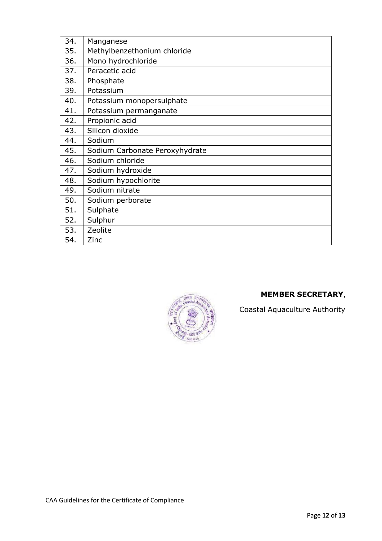| 34. | Manganese                      |
|-----|--------------------------------|
| 35. | Methylbenzethonium chloride    |
| 36. | Mono hydrochloride             |
| 37. | Peracetic acid                 |
| 38. | Phosphate                      |
| 39. | Potassium                      |
| 40. | Potassium monopersulphate      |
| 41. | Potassium permanganate         |
| 42. | Propionic acid                 |
| 43. | Silicon dioxide                |
| 44. | Sodium                         |
| 45. | Sodium Carbonate Peroxyhydrate |
| 46. | Sodium chloride                |
| 47. | Sodium hydroxide               |
| 48. | Sodium hypochlorite            |
| 49. | Sodium nitrate                 |
| 50. | Sodium perborate               |
| 51. | Sulphate                       |
| 52. | Sulphur                        |
| 53. | Zeolite                        |
| 54. | Zinc                           |



#### **MEMBER SECRETARY**,

Coastal Aquaculture Authority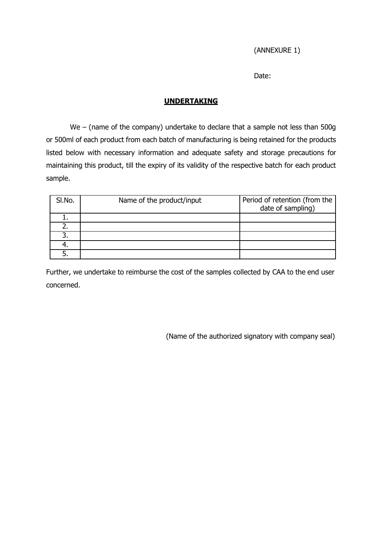#### (ANNEXURE 1)

Date:

#### **UNDERTAKING**

We – (name of the company) undertake to declare that a sample not less than 500g or 500ml of each product from each batch of manufacturing is being retained for the products listed below with necessary information and adequate safety and storage precautions for maintaining this product, till the expiry of its validity of the respective batch for each product sample.

| SI.No. | Name of the product/input | Period of retention (from the<br>date of sampling) |
|--------|---------------------------|----------------------------------------------------|
|        |                           |                                                    |
|        |                           |                                                    |
| 3.     |                           |                                                    |
|        |                           |                                                    |
|        |                           |                                                    |

Further, we undertake to reimburse the cost of the samples collected by CAA to the end user concerned.

(Name of the authorized signatory with company seal)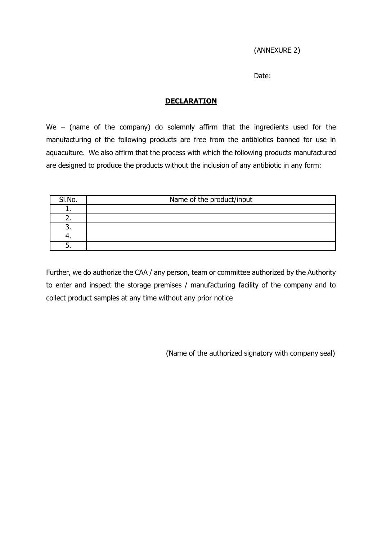#### (ANNEXURE 2)

Date:

#### **DECLARATION**

We – (name of the company) do solemnly affirm that the ingredients used for the manufacturing of the following products are free from the antibiotics banned for use in aquaculture. We also affirm that the process with which the following products manufactured are designed to produce the products without the inclusion of any antibiotic in any form:

| SI.No. | Name of the product/input |
|--------|---------------------------|
|        |                           |
|        |                           |
|        |                           |
|        |                           |
|        |                           |

Further, we do authorize the CAA / any person, team or committee authorized by the Authority to enter and inspect the storage premises / manufacturing facility of the company and to collect product samples at any time without any prior notice

(Name of the authorized signatory with company seal)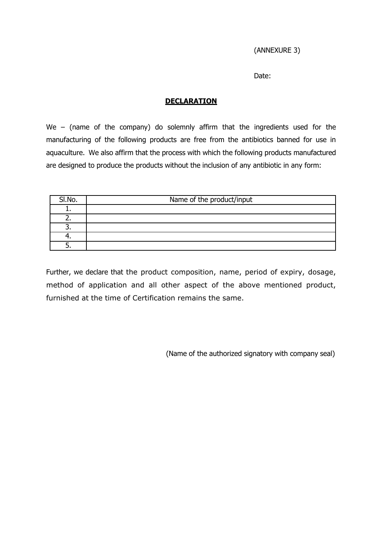#### (ANNEXURE 3)

Date:

#### **DECLARATION**

We – (name of the company) do solemnly affirm that the ingredients used for the manufacturing of the following products are free from the antibiotics banned for use in aquaculture. We also affirm that the process with which the following products manufactured are designed to produce the products without the inclusion of any antibiotic in any form:

| SI.No. | Name of the product/input |
|--------|---------------------------|
|        |                           |
|        |                           |
|        |                           |
|        |                           |
|        |                           |

Further, we declare that the product composition, name, period of expiry, dosage, method of application and all other aspect of the above mentioned product, furnished at the time of Certification remains the same.

(Name of the authorized signatory with company seal)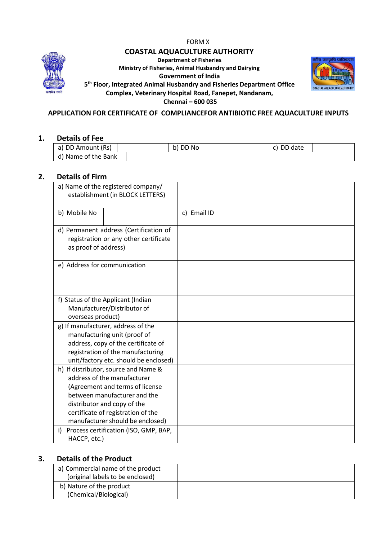FORM X

#### **COASTAL AQUACULTURE AUTHORITY**

**Department of Fisheries**



**Ministry of Fisheries, Animal Husbandry and Dairying Government of India 5 th Floor, Integrated Animal Husbandry and Fisheries Department Office**



## **Complex, Veterinary Hospital Road, Fanepet, Nandanam,**

**Chennai – 600 035**

#### **APPLICATION FOR CERTIFICATE OF COMPLIANCEFOR ANTIBIOTIC FREE AQUACULTURE INPUTS**

#### **1. Details of Fee**

| a) DD Amount (Rs)   | b) DD No | c) DD date |
|---------------------|----------|------------|
| d) Name of the Bank |          |            |

#### **2. Details of Firm**

| b) Mobile No<br>c) Email ID<br>d) Permanent address (Certification of<br>registration or any other certificate<br>as proof of address) |
|----------------------------------------------------------------------------------------------------------------------------------------|
|                                                                                                                                        |
|                                                                                                                                        |
| e) Address for communication                                                                                                           |
| f) Status of the Applicant (Indian                                                                                                     |
| Manufacturer/Distributor of                                                                                                            |
| overseas product)                                                                                                                      |
| g) If manufacturer, address of the                                                                                                     |
| manufacturing unit (proof of                                                                                                           |
| address, copy of the certificate of                                                                                                    |
| registration of the manufacturing                                                                                                      |
| unit/factory etc. should be enclosed)                                                                                                  |
| h) If distributor, source and Name &                                                                                                   |
| address of the manufacturer                                                                                                            |
| (Agreement and terms of license                                                                                                        |
| between manufacturer and the<br>distributor and copy of the                                                                            |
| certificate of registration of the                                                                                                     |
| manufacturer should be enclosed)                                                                                                       |
| Process certification (ISO, GMP, BAP,<br>i)                                                                                            |
| HACCP, etc.)                                                                                                                           |

#### **3. Details of the Product**

| a) Commercial name of the product<br>(original labels to be enclosed) |  |
|-----------------------------------------------------------------------|--|
| b) Nature of the product<br>(Chemical/Biological)                     |  |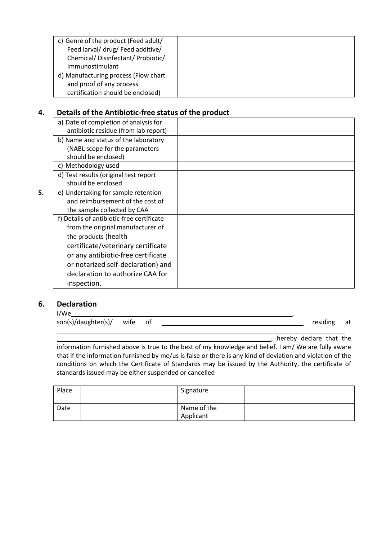| c) Genre of the product (Feed adult/ |  |
|--------------------------------------|--|
| Feed larval/ drug/ Feed additive/    |  |
| Chemical/Disinfectant/Probiotic/     |  |
| Immunostimulant                      |  |
| d) Manufacturing process (Flow chart |  |
| and proof of any process             |  |
| certification should be enclosed)    |  |

#### **4. Details of the Antibiotic-free status of the product**

|    | a) Date of completion of analysis for<br>antibiotic residue (from lab report) |  |
|----|-------------------------------------------------------------------------------|--|
|    | b) Name and status of the laboratory                                          |  |
|    | (NABL scope for the parameters                                                |  |
|    | should be enclosed)                                                           |  |
|    | c) Methodology used                                                           |  |
|    | d) Test results (original test report                                         |  |
|    | should be enclosed                                                            |  |
| 5. | e) Undertaking for sample retention                                           |  |
|    | and reimbursement of the cost of                                              |  |
|    | the sample collected by CAA                                                   |  |
|    | f) Details of antibiotic-free certificate                                     |  |
|    | from the original manufacturer of                                             |  |
|    | the products (health                                                          |  |
|    | certificate/veterinary certificate                                            |  |
|    | or any antibiotic-free certificate                                            |  |
|    | or notarized self-declaration) and                                            |  |
|    | declaration to authorize CAA for                                              |  |
|    | inspection.                                                                   |  |
|    |                                                                               |  |

# **6. Declaration**

I/We ,

son(s)/daughter(s)/ wife of residing at residing at

, hereby declare that the information furnished above is true to the best of my knowledge and belief. I am/ We are fully aware that if the information furnished by me/us is false or there is any kind of deviation and violation of the conditions on which the Certificate of Standards may be issued by the Authority, the certificate of standards issued may be either suspended or cancelled

| Place | Signature                |  |
|-------|--------------------------|--|
| Date  | Name of the<br>Applicant |  |